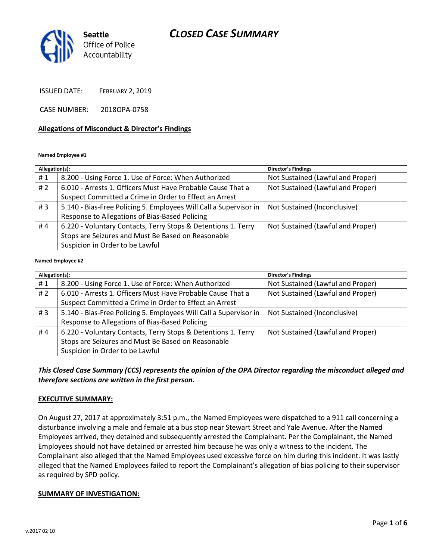# *CLOSED CASE SUMMARY*



ISSUED DATE: FEBRUARY 2, 2019

CASE NUMBER: 2018OPA-0758

### **Allegations of Misconduct & Director's Findings**

**Named Employee #1**

| Allegation(s): |                                                                   | Director's Findings               |
|----------------|-------------------------------------------------------------------|-----------------------------------|
| #1             | 8.200 - Using Force 1. Use of Force: When Authorized              | Not Sustained (Lawful and Proper) |
| #2             | 6.010 - Arrests 1. Officers Must Have Probable Cause That a       | Not Sustained (Lawful and Proper) |
|                | Suspect Committed a Crime in Order to Effect an Arrest            |                                   |
| #3             | 5.140 - Bias-Free Policing 5. Employees Will Call a Supervisor in | Not Sustained (Inconclusive)      |
|                | Response to Allegations of Bias-Based Policing                    |                                   |
| #4             | 6.220 - Voluntary Contacts, Terry Stops & Detentions 1. Terry     | Not Sustained (Lawful and Proper) |
|                | Stops are Seizures and Must Be Based on Reasonable                |                                   |
|                | Suspicion in Order to be Lawful                                   |                                   |
|                |                                                                   |                                   |

#### **Named Employee #2**

| Allegation(s): |                                                                   | <b>Director's Findings</b>        |
|----------------|-------------------------------------------------------------------|-----------------------------------|
| #1             | 8.200 - Using Force 1. Use of Force: When Authorized              | Not Sustained (Lawful and Proper) |
| #2             | 6.010 - Arrests 1. Officers Must Have Probable Cause That a       | Not Sustained (Lawful and Proper) |
|                | Suspect Committed a Crime in Order to Effect an Arrest            |                                   |
| #3             | 5.140 - Bias-Free Policing 5. Employees Will Call a Supervisor in | Not Sustained (Inconclusive)      |
|                | Response to Allegations of Bias-Based Policing                    |                                   |
| #4             | 6.220 - Voluntary Contacts, Terry Stops & Detentions 1. Terry     | Not Sustained (Lawful and Proper) |
|                | Stops are Seizures and Must Be Based on Reasonable                |                                   |
|                | Suspicion in Order to be Lawful                                   |                                   |

### *This Closed Case Summary (CCS) represents the opinion of the OPA Director regarding the misconduct alleged and therefore sections are written in the first person.*

### **EXECUTIVE SUMMARY:**

On August 27, 2017 at approximately 3:51 p.m., the Named Employees were dispatched to a 911 call concerning a disturbance involving a male and female at a bus stop near Stewart Street and Yale Avenue. After the Named Employees arrived, they detained and subsequently arrested the Complainant. Per the Complainant, the Named Employees should not have detained or arrested him because he was only a witness to the incident. The Complainant also alleged that the Named Employees used excessive force on him during this incident. It was lastly alleged that the Named Employees failed to report the Complainant's allegation of bias policing to their supervisor as required by SPD policy.

### **SUMMARY OF INVESTIGATION:**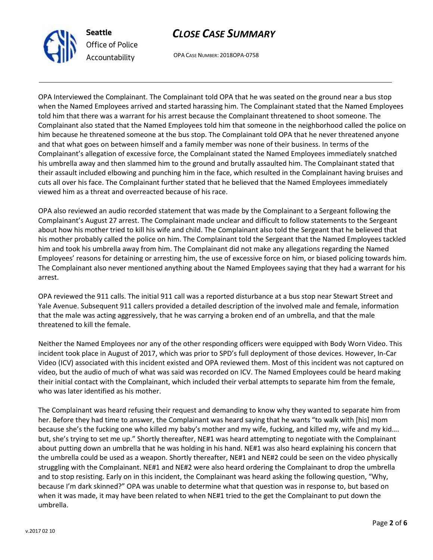

# *CLOSE CASE SUMMARY*

OPA CASE NUMBER: 2018OPA-0758

OPA Interviewed the Complainant. The Complainant told OPA that he was seated on the ground near a bus stop when the Named Employees arrived and started harassing him. The Complainant stated that the Named Employees told him that there was a warrant for his arrest because the Complainant threatened to shoot someone. The Complainant also stated that the Named Employees told him that someone in the neighborhood called the police on him because he threatened someone at the bus stop. The Complainant told OPA that he never threatened anyone and that what goes on between himself and a family member was none of their business. In terms of the Complainant's allegation of excessive force, the Complainant stated the Named Employees immediately snatched his umbrella away and then slammed him to the ground and brutally assaulted him. The Complainant stated that their assault included elbowing and punching him in the face, which resulted in the Complainant having bruises and cuts all over his face. The Complainant further stated that he believed that the Named Employees immediately viewed him as a threat and overreacted because of his race.

OPA also reviewed an audio recorded statement that was made by the Complainant to a Sergeant following the Complainant's August 27 arrest. The Complainant made unclear and difficult to follow statements to the Sergeant about how his mother tried to kill his wife and child. The Complainant also told the Sergeant that he believed that his mother probably called the police on him. The Complainant told the Sergeant that the Named Employees tackled him and took his umbrella away from him. The Complainant did not make any allegations regarding the Named Employees' reasons for detaining or arresting him, the use of excessive force on him, or biased policing towards him. The Complainant also never mentioned anything about the Named Employees saying that they had a warrant for his arrest.

OPA reviewed the 911 calls. The initial 911 call was a reported disturbance at a bus stop near Stewart Street and Yale Avenue. Subsequent 911 callers provided a detailed description of the involved male and female, information that the male was acting aggressively, that he was carrying a broken end of an umbrella, and that the male threatened to kill the female.

Neither the Named Employees nor any of the other responding officers were equipped with Body Worn Video. This incident took place in August of 2017, which was prior to SPD's full deployment of those devices. However, In-Car Video (ICV) associated with this incident existed and OPA reviewed them. Most of this incident was not captured on video, but the audio of much of what was said was recorded on ICV. The Named Employees could be heard making their initial contact with the Complainant, which included their verbal attempts to separate him from the female, who was later identified as his mother.

The Complainant was heard refusing their request and demanding to know why they wanted to separate him from her. Before they had time to answer, the Complainant was heard saying that he wants "to walk with [his] mom because she's the fucking one who killed my baby's mother and my wife, fucking, and killed my, wife and my kid…. but, she's trying to set me up." Shortly thereafter, NE#1 was heard attempting to negotiate with the Complainant about putting down an umbrella that he was holding in his hand. NE#1 was also heard explaining his concern that the umbrella could be used as a weapon. Shortly thereafter, NE#1 and NE#2 could be seen on the video physically struggling with the Complainant. NE#1 and NE#2 were also heard ordering the Complainant to drop the umbrella and to stop resisting. Early on in this incident, the Complainant was heard asking the following question, "Why, because I'm dark skinned?" OPA was unable to determine what that question was in response to, but based on when it was made, it may have been related to when NE#1 tried to the get the Complainant to put down the umbrella.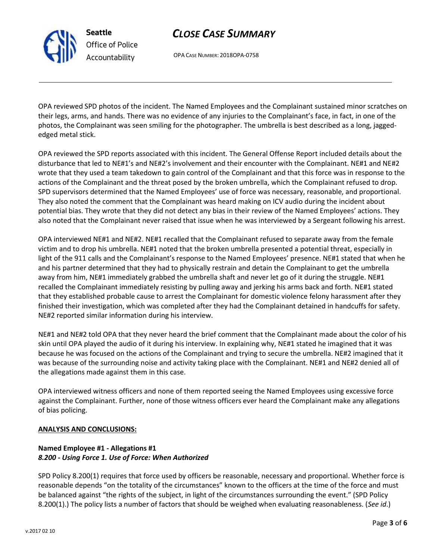## *CLOSE CASE SUMMARY*

OPA CASE NUMBER: 2018OPA-0758

OPA reviewed SPD photos of the incident. The Named Employees and the Complainant sustained minor scratches on their legs, arms, and hands. There was no evidence of any injuries to the Complainant's face, in fact, in one of the photos, the Complainant was seen smiling for the photographer. The umbrella is best described as a long, jaggededged metal stick.

OPA reviewed the SPD reports associated with this incident. The General Offense Report included details about the disturbance that led to NE#1's and NE#2's involvement and their encounter with the Complainant. NE#1 and NE#2 wrote that they used a team takedown to gain control of the Complainant and that this force was in response to the actions of the Complainant and the threat posed by the broken umbrella, which the Complainant refused to drop. SPD supervisors determined that the Named Employees' use of force was necessary, reasonable, and proportional. They also noted the comment that the Complainant was heard making on ICV audio during the incident about potential bias. They wrote that they did not detect any bias in their review of the Named Employees' actions. They also noted that the Complainant never raised that issue when he was interviewed by a Sergeant following his arrest.

OPA interviewed NE#1 and NE#2. NE#1 recalled that the Complainant refused to separate away from the female victim and to drop his umbrella. NE#1 noted that the broken umbrella presented a potential threat, especially in light of the 911 calls and the Complainant's response to the Named Employees' presence. NE#1 stated that when he and his partner determined that they had to physically restrain and detain the Complainant to get the umbrella away from him, NE#1 immediately grabbed the umbrella shaft and never let go of it during the struggle. NE#1 recalled the Complainant immediately resisting by pulling away and jerking his arms back and forth. NE#1 stated that they established probable cause to arrest the Complainant for domestic violence felony harassment after they finished their investigation, which was completed after they had the Complainant detained in handcuffs for safety. NE#2 reported similar information during his interview.

NE#1 and NE#2 told OPA that they never heard the brief comment that the Complainant made about the color of his skin until OPA played the audio of it during his interview. In explaining why, NE#1 stated he imagined that it was because he was focused on the actions of the Complainant and trying to secure the umbrella. NE#2 imagined that it was because of the surrounding noise and activity taking place with the Complainant. NE#1 and NE#2 denied all of the allegations made against them in this case.

OPA interviewed witness officers and none of them reported seeing the Named Employees using excessive force against the Complainant. Further, none of those witness officers ever heard the Complainant make any allegations of bias policing.

### **ANALYSIS AND CONCLUSIONS:**

## **Named Employee #1 - Allegations #1** *8.200 - Using Force 1. Use of Force: When Authorized*

SPD Policy 8.200(1) requires that force used by officers be reasonable, necessary and proportional. Whether force is reasonable depends "on the totality of the circumstances" known to the officers at the time of the force and must be balanced against "the rights of the subject, in light of the circumstances surrounding the event." (SPD Policy 8.200(1).) The policy lists a number of factors that should be weighed when evaluating reasonableness. (*See id*.)



**Seattle**

*Office of Police Accountability*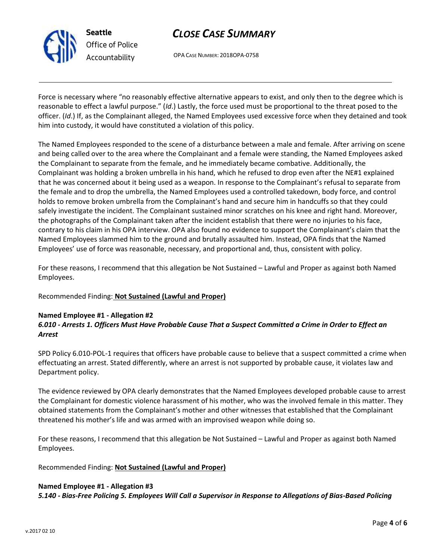

**Seattle** *Office of Police Accountability*

# *CLOSE CASE SUMMARY*

OPA CASE NUMBER: 2018OPA-0758

Force is necessary where "no reasonably effective alternative appears to exist, and only then to the degree which is reasonable to effect a lawful purpose." (*Id*.) Lastly, the force used must be proportional to the threat posed to the officer. (*Id*.) If, as the Complainant alleged, the Named Employees used excessive force when they detained and took him into custody, it would have constituted a violation of this policy.

The Named Employees responded to the scene of a disturbance between a male and female. After arriving on scene and being called over to the area where the Complainant and a female were standing, the Named Employees asked the Complainant to separate from the female, and he immediately became combative. Additionally, the Complainant was holding a broken umbrella in his hand, which he refused to drop even after the NE#1 explained that he was concerned about it being used as a weapon. In response to the Complainant's refusal to separate from the female and to drop the umbrella, the Named Employees used a controlled takedown, body force, and control holds to remove broken umbrella from the Complainant's hand and secure him in handcuffs so that they could safely investigate the incident. The Complainant sustained minor scratches on his knee and right hand. Moreover, the photographs of the Complainant taken after the incident establish that there were no injuries to his face, contrary to his claim in his OPA interview. OPA also found no evidence to support the Complainant's claim that the Named Employees slammed him to the ground and brutally assaulted him. Instead, OPA finds that the Named Employees' use of force was reasonable, necessary, and proportional and, thus, consistent with policy.

For these reasons, I recommend that this allegation be Not Sustained – Lawful and Proper as against both Named Employees.

Recommended Finding: **Not Sustained (Lawful and Proper)**

## **Named Employee #1 - Allegation #2**

## *6.010 - Arrests 1. Officers Must Have Probable Cause That a Suspect Committed a Crime in Order to Effect an Arrest*

SPD Policy 6.010-POL-1 requires that officers have probable cause to believe that a suspect committed a crime when effectuating an arrest. Stated differently, where an arrest is not supported by probable cause, it violates law and Department policy.

The evidence reviewed by OPA clearly demonstrates that the Named Employees developed probable cause to arrest the Complainant for domestic violence harassment of his mother, who was the involved female in this matter. They obtained statements from the Complainant's mother and other witnesses that established that the Complainant threatened his mother's life and was armed with an improvised weapon while doing so.

For these reasons, I recommend that this allegation be Not Sustained – Lawful and Proper as against both Named Employees.

Recommended Finding: **Not Sustained (Lawful and Proper)**

### **Named Employee #1 - Allegation #3**

*5.140 - Bias-Free Policing 5. Employees Will Call a Supervisor in Response to Allegations of Bias-Based Policing*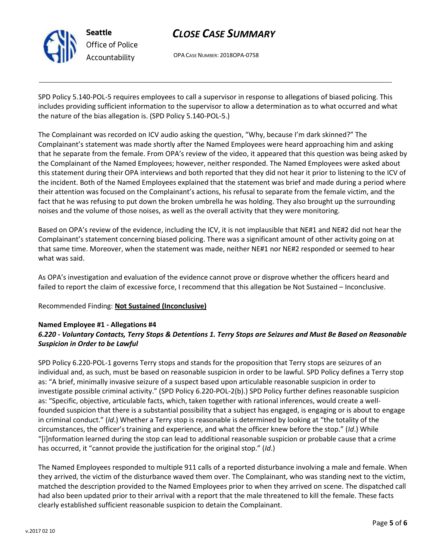

**Seattle** *Office of Police Accountability*

# *CLOSE CASE SUMMARY*

OPA CASE NUMBER: 2018OPA-0758

SPD Policy 5.140-POL-5 requires employees to call a supervisor in response to allegations of biased policing. This includes providing sufficient information to the supervisor to allow a determination as to what occurred and what the nature of the bias allegation is. (SPD Policy 5.140-POL-5.)

The Complainant was recorded on ICV audio asking the question, "Why, because I'm dark skinned?" The Complainant's statement was made shortly after the Named Employees were heard approaching him and asking that he separate from the female. From OPA's review of the video, it appeared that this question was being asked by the Complainant of the Named Employees; however, neither responded. The Named Employees were asked about this statement during their OPA interviews and both reported that they did not hear it prior to listening to the ICV of the incident. Both of the Named Employees explained that the statement was brief and made during a period where their attention was focused on the Complainant's actions, his refusal to separate from the female victim, and the fact that he was refusing to put down the broken umbrella he was holding. They also brought up the surrounding noises and the volume of those noises, as well as the overall activity that they were monitoring.

Based on OPA's review of the evidence, including the ICV, it is not implausible that NE#1 and NE#2 did not hear the Complainant's statement concerning biased policing. There was a significant amount of other activity going on at that same time. Moreover, when the statement was made, neither NE#1 nor NE#2 responded or seemed to hear what was said.

As OPA's investigation and evaluation of the evidence cannot prove or disprove whether the officers heard and failed to report the claim of excessive force, I recommend that this allegation be Not Sustained – Inconclusive.

## Recommended Finding: **Not Sustained (Inconclusive)**

## **Named Employee #1 - Allegations #4**

## *6.220 - Voluntary Contacts, Terry Stops & Detentions 1. Terry Stops are Seizures and Must Be Based on Reasonable Suspicion in Order to be Lawful*

SPD Policy 6.220-POL-1 governs Terry stops and stands for the proposition that Terry stops are seizures of an individual and, as such, must be based on reasonable suspicion in order to be lawful. SPD Policy defines a Terry stop as: "A brief, minimally invasive seizure of a suspect based upon articulable reasonable suspicion in order to investigate possible criminal activity." (SPD Policy 6.220-POL-2(b).) SPD Policy further defines reasonable suspicion as: "Specific, objective, articulable facts, which, taken together with rational inferences, would create a wellfounded suspicion that there is a substantial possibility that a subject has engaged, is engaging or is about to engage in criminal conduct." (*Id*.) Whether a Terry stop is reasonable is determined by looking at "the totality of the circumstances, the officer's training and experience, and what the officer knew before the stop." (*Id*.) While "[i]nformation learned during the stop can lead to additional reasonable suspicion or probable cause that a crime has occurred, it "cannot provide the justification for the original stop." (*Id*.)

The Named Employees responded to multiple 911 calls of a reported disturbance involving a male and female. When they arrived, the victim of the disturbance waved them over. The Complainant, who was standing next to the victim, matched the description provided to the Named Employees prior to when they arrived on scene. The dispatched call had also been updated prior to their arrival with a report that the male threatened to kill the female. These facts clearly established sufficient reasonable suspicion to detain the Complainant.